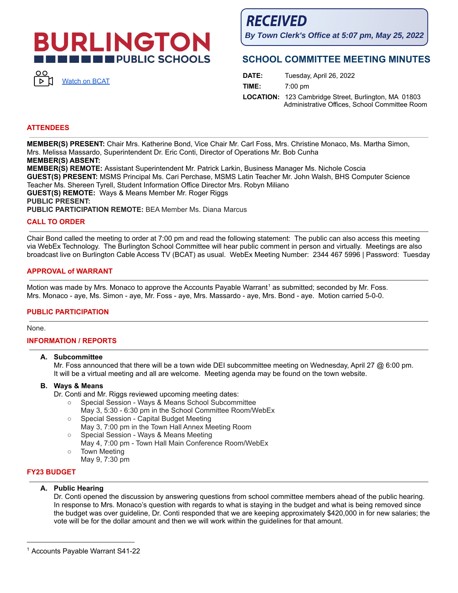# **BURLINGTON THE PUBLIC SCHOOLS**



**RECEIVED** 

**By Town Clerk's Office at 5:07 pm, May 25, 2022**

# **SCHOOL COMMITTEE MEETING MINUTES**

| DATE: | Tuesday, April 26, 2022                                                                                      |
|-------|--------------------------------------------------------------------------------------------------------------|
| TIME: | $7:00 \text{ pm}$                                                                                            |
|       | <b>LOCATION:</b> 123 Cambridge Street, Burlington, MA 01803<br>Administrative Offices, School Committee Room |

### **ATTENDEES**

**MEMBER(S) PRESENT:** Chair Mrs. Katherine Bond, Vice Chair Mr. Carl Foss, Mrs. Christine Monaco, Ms. Martha Simon, Mrs. Melissa Massardo, Superintendent Dr. Eric Conti, Director of Operations Mr. Bob Cunha **MEMBER(S) ABSENT: MEMBER(S) REMOTE:** Assistant Superintendent Mr. Patrick Larkin, Business Manager Ms. Nichole Coscia **GUEST(S) PRESENT:** MSMS Principal Ms. Cari Perchase, MSMS Latin Teacher Mr. John Walsh, BHS Computer Science Teacher Ms. Shereen Tyrell, Student Information Office Director Mrs. Robyn Miliano

**GUEST(S) REMOTE:** Ways & Means Member Mr. Roger Riggs

**PUBLIC PRESENT:**

**PUBLIC PARTICIPATION REMOTE:** BEA Member Ms. Diana Marcus

### **CALL TO ORDER**

Chair Bond called the meeting to order at 7:00 pm and read the following statement: The public can also access this meeting via WebEx Technology. The Burlington School Committee will hear public comment in person and virtually. Meetings are also broadcast live on Burlington Cable Access TV (BCAT) as usual. WebEx Meeting Number: 2344 467 5996 | Password: Tuesday

### **APPROVAL of WARRANT**

Motion was made by Mrs. Monaco to approve the Accounts Payable Warrant<sup>1</sup> as submitted; seconded by Mr. Foss. Mrs. Monaco - aye, Ms. Simon - aye, Mr. Foss - aye, Mrs. Massardo - aye, Mrs. Bond - aye. Motion carried 5-0-0.

### **PUBLIC PARTICIPATION**

None.

# **INFORMATION / REPORTS**

### **A. Subcommittee**

Mr. Foss announced that there will be a town wide DEI subcommittee meeting on Wednesday, April 27 @ 6:00 pm. It will be a virtual meeting and all are welcome. Meeting agenda may be found on the town website.

### **B. Ways & Means**

Dr. Conti and Mr. Riggs reviewed upcoming meeting dates:

- Special Session Ways & Means School Subcommittee
	- May 3, 5:30 6:30 pm in the School Committee Room/WebEx
- Special Session Capital Budget Meeting
- May 3, 7:00 pm in the Town Hall Annex Meeting Room
- Special Session Ways & Means Meeting
- May 4, 7:00 pm Town Hall Main Conference Room/WebEx
- Town Meeting May 9, 7:30 pm

# **FY23 BUDGET**

# **A. Public Hearing**

Dr. Conti opened the discussion by answering questions from school committee members ahead of the public hearing. In response to Mrs. Monaco's question with regards to what is staying in the budget and what is being removed since the budget was over guideline, Dr. Conti responded that we are keeping approximately \$420,000 in for new salaries; the vote will be for the dollar amount and then we will work within the guidelines for that amount.

<sup>&</sup>lt;sup>1</sup> Accounts Payable Warrant S41-22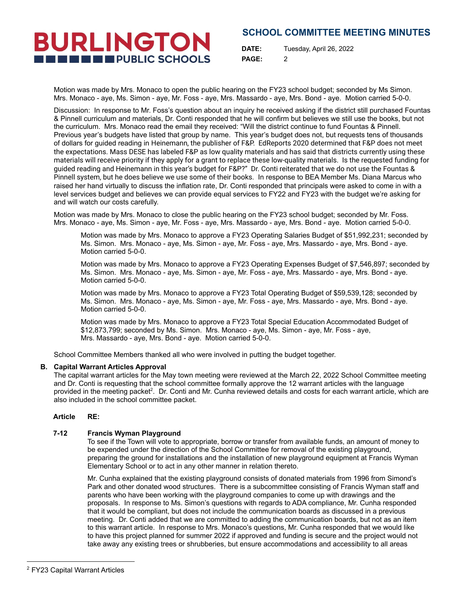**BURLINGTON THE ENDIRECT PUBLIC SCHOOLS** 

**DATE:** Tuesday, April 26, 2022 **PAGE:** 2

Motion was made by Mrs. Monaco to open the public hearing on the FY23 school budget; seconded by Ms Simon. Mrs. Monaco - aye, Ms. Simon - aye, Mr. Foss - aye, Mrs. Massardo - aye, Mrs. Bond - aye. Motion carried 5-0-0.

Discussion: In response to Mr. Foss's question about an inquiry he received asking if the district still purchased Fountas & Pinnell curriculum and materials, Dr. Conti responded that he will confirm but believes we still use the books, but not the curriculum. Mrs. Monaco read the email they received: "Will the district continue to fund Fountas & Pinnell. Previous year's budgets have listed that group by name. This year's budget does not, but requests tens of thousands of dollars for guided reading in Heinemann, the publisher of F&P. EdReports 2020 determined that F&P does not meet the expectations. Mass DESE has labeled F&P as low quality materials and has said that districts currently using these materials will receive priority if they apply for a grant to replace these low-quality materials. Is the requested funding for guided reading and Heinemann in this year's budget for F&P?" Dr. Conti reiterated that we do not use the Fountas & Pinnell system, but he does believe we use some of their books. In response to BEA Member Ms. Diana Marcus who raised her hand virtually to discuss the inflation rate, Dr. Conti responded that principals were asked to come in with a level services budget and believes we can provide equal services to FY22 and FY23 with the budget we're asking for and will watch our costs carefully.

Motion was made by Mrs. Monaco to close the public hearing on the FY23 school budget; seconded by Mr. Foss. Mrs. Monaco - aye, Ms. Simon - aye, Mr. Foss - aye, Mrs. Massardo - aye, Mrs. Bond - aye. Motion carried 5-0-0.

Motion was made by Mrs. Monaco to approve a FY23 Operating Salaries Budget of \$51,992,231; seconded by Ms. Simon. Mrs. Monaco - aye, Ms. Simon - aye, Mr. Foss - aye, Mrs. Massardo - aye, Mrs. Bond - aye. Motion carried 5-0-0.

Motion was made by Mrs. Monaco to approve a FY23 Operating Expenses Budget of \$7,546,897; seconded by Ms. Simon. Mrs. Monaco - aye, Ms. Simon - aye, Mr. Foss - aye, Mrs. Massardo - aye, Mrs. Bond - aye. Motion carried 5-0-0.

Motion was made by Mrs. Monaco to approve a FY23 Total Operating Budget of \$59,539,128; seconded by Ms. Simon. Mrs. Monaco - aye, Ms. Simon - aye, Mr. Foss - aye, Mrs. Massardo - aye, Mrs. Bond - aye. Motion carried 5-0-0.

Motion was made by Mrs. Monaco to approve a FY23 Total Special Education Accommodated Budget of \$12,873,799; seconded by Ms. Simon. Mrs. Monaco - aye, Ms. Simon - aye, Mr. Foss - aye, Mrs. Massardo - aye, Mrs. Bond - aye. Motion carried 5-0-0.

School Committee Members thanked all who were involved in putting the budget together.

# **B. Capital Warrant Articles Approval**

The capital warrant articles for the May town meeting were reviewed at the March 22, 2022 School Committee meeting and Dr. Conti is requesting that the school committee formally approve the 12 warrant articles with the language provided in the meeting packet<sup>2</sup>. Dr. Conti and Mr. Cunha reviewed details and costs for each warrant article, which are also included in the school committee packet.

# **Article RE:**

### **7-12 Francis Wyman Playground**

To see if the Town will vote to appropriate, borrow or transfer from available funds, an amount of money to be expended under the direction of the School Committee for removal of the existing playground, preparing the ground for installations and the installation of new playground equipment at Francis Wyman Elementary School or to act in any other manner in relation thereto.

Mr. Cunha explained that the existing playground consists of donated materials from 1996 from Simond's Park and other donated wood structures. There is a subcommittee consisting of Francis Wyman staff and parents who have been working with the playground companies to come up with drawings and the proposals. In response to Ms. Simon's questions with regards to ADA compliance, Mr. Cunha responded that it would be compliant, but does not include the communication boards as discussed in a previous meeting. Dr. Conti added that we are committed to adding the communication boards, but not as an item to this warrant article. In response to Mrs. Monaco's questions, Mr. Cunha responded that we would like to have this project planned for summer 2022 if approved and funding is secure and the project would not take away any existing trees or shrubberies, but ensure accommodations and accessibility to all areas

<sup>2</sup> FY23 Capital Warrant Articles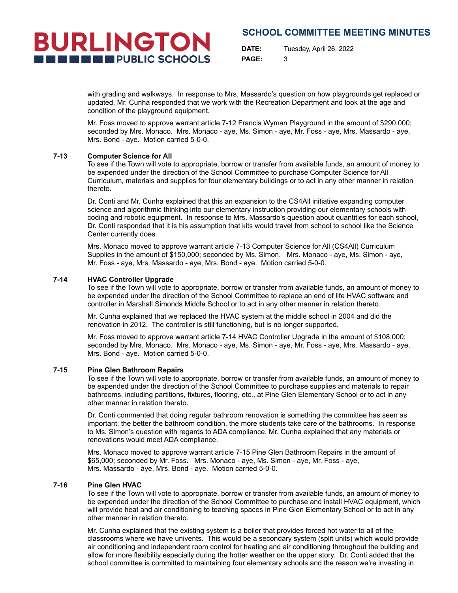

**DATE:** Tuesday, April 26, 2022 **PAGE:** 3

with grading and walkways. In response to Mrs. Massardo's question on how playgrounds get replaced or updated, Mr. Cunha responded that we work with the Recreation Department and look at the age and condition of the playground equipment.

Mr. Foss moved to approve warrant article 7-12 Francis Wyman Playground in the amount of \$290,000; seconded by Mrs. Monaco. Mrs. Monaco - aye, Ms. Simon - aye, Mr. Foss - aye, Mrs. Massardo - aye, Mrs. Bond - aye. Motion carried 5-0-0.

### **7-13 Computer Science for All**

To see if the Town will vote to appropriate, borrow or transfer from available funds, an amount of money to be expended under the direction of the School Committee to purchase Computer Science for All Curriculum, materials and supplies for four elementary buildings or to act in any other manner in relation thereto.

Dr. Conti and Mr. Cunha explained that this an expansion to the CS4All initiative expanding computer science and algorithmic thinking into our elementary instruction providing our elementary schools with coding and robotic equipment. In response to Mrs. Massardo's question about quantities for each school, Dr. Conti responded that it is his assumption that kits would travel from school to school like the Science Center currently does.

Mrs. Monaco moved to approve warrant article 7-13 Computer Science for All (CS4All) Curriculum Supplies in the amount of \$150,000; seconded by Ms. Simon. Mrs. Monaco - aye, Ms. Simon - aye, Mr. Foss - aye, Mrs. Massardo - aye, Mrs. Bond - aye. Motion carried 5-0-0.

### **7-14 HVAC Controller Upgrade**

To see if the Town will vote to appropriate, borrow or transfer from available funds, an amount of money to be expended under the direction of the School Committee to replace an end of life HVAC software and controller in Marshall Simonds Middle School or to act in any other manner in relation thereto.

Mr. Cunha explained that we replaced the HVAC system at the middle school in 2004 and did the renovation in 2012. The controller is still functioning, but is no longer supported.

Mr. Foss moved to approve warrant article 7-14 HVAC Controller Upgrade in the amount of \$108,000; seconded by Mrs. Monaco. Mrs. Monaco - aye, Ms. Simon - aye, Mr. Foss - aye, Mrs. Massardo - aye, Mrs. Bond - aye. Motion carried 5-0-0.

### **7-15 Pine Glen Bathroom Repairs**

To see if the Town will vote to appropriate, borrow or transfer from available funds, an amount of money to be expended under the direction of the School Committee to purchase supplies and materials to repair bathrooms, including partitions, fixtures, flooring, etc., at Pine Glen Elementary School or to act in any other manner in relation thereto.

Dr. Conti commented that doing regular bathroom renovation is something the committee has seen as important; the better the bathroom condition, the more students take care of the bathrooms. In response to Ms. Simon's question with regards to ADA compliance, Mr. Cunha explained that any materials or renovations would meet ADA compliance.

Mrs. Monaco moved to approve warrant article 7-15 Pine Glen Bathroom Repairs in the amount of \$65,000; seconded by Mr. Foss. Mrs. Monaco - aye, Ms. Simon - aye, Mr. Foss - aye, Mrs. Massardo - aye, Mrs. Bond - aye. Motion carried 5-0-0.

### **7-16 Pine Glen HVAC**

To see if the Town will vote to appropriate, borrow or transfer from available funds, an amount of money to be expended under the direction of the School Committee to purchase and install HVAC equipment, which will provide heat and air conditioning to teaching spaces in Pine Glen Elementary School or to act in any other manner in relation thereto.

Mr. Cunha explained that the existing system is a boiler that provides forced hot water to all of the classrooms where we have univents. This would be a secondary system (split units) which would provide air conditioning and independent room control for heating and air conditioning throughout the building and allow for more flexibility especially during the hotter weather on the upper story. Dr. Conti added that the school committee is committed to maintaining four elementary schools and the reason we're investing in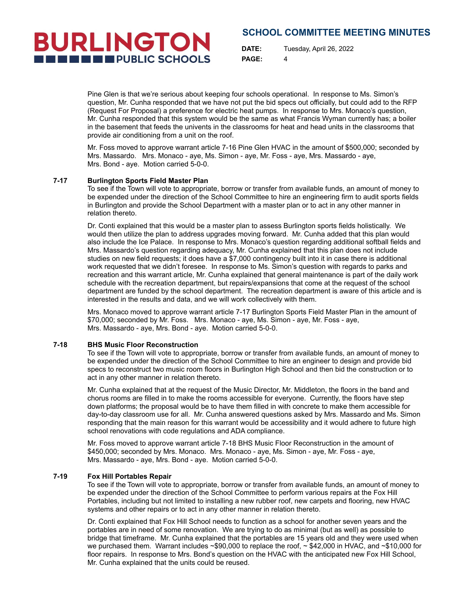**DATE:** Tuesday, April 26, 2022 **PAGE:** 4

Pine Glen is that we're serious about keeping four schools operational. In response to Ms. Simon's question, Mr. Cunha responded that we have not put the bid specs out officially, but could add to the RFP (Request For Proposal) a preference for electric heat pumps. In response to Mrs. Monaco's question, Mr. Cunha responded that this system would be the same as what Francis Wyman currently has; a boiler in the basement that feeds the univents in the classrooms for heat and head units in the classrooms that provide air conditioning from a unit on the roof.

Mr. Foss moved to approve warrant article 7-16 Pine Glen HVAC in the amount of \$500,000; seconded by Mrs. Massardo. Mrs. Monaco - aye, Ms. Simon - aye, Mr. Foss - aye, Mrs. Massardo - aye, Mrs. Bond - aye. Motion carried 5-0-0.

### **7-17 Burlington Sports Field Master Plan**

**BURLINGTON** 

**THE ENDIRECT PUBLIC SCHOOLS** 

To see if the Town will vote to appropriate, borrow or transfer from available funds, an amount of money to be expended under the direction of the School Committee to hire an engineering firm to audit sports fields in Burlington and provide the School Department with a master plan or to act in any other manner in relation thereto.

Dr. Conti explained that this would be a master plan to assess Burlington sports fields holistically. We would then utilize the plan to address upgrades moving forward. Mr. Cunha added that this plan would also include the Ice Palace. In response to Mrs. Monaco's question regarding additional softball fields and Mrs. Massardo's question regarding adequacy, Mr. Cunha explained that this plan does not include studies on new field requests; it does have a \$7,000 contingency built into it in case there is additional work requested that we didn't foresee. In response to Ms. Simon's question with regards to parks and recreation and this warrant article, Mr. Cunha explained that general maintenance is part of the daily work schedule with the recreation department, but repairs/expansions that come at the request of the school department are funded by the school department. The recreation department is aware of this article and is interested in the results and data, and we will work collectively with them.

Mrs. Monaco moved to approve warrant article 7-17 Burlington Sports Field Master Plan in the amount of \$70,000; seconded by Mr. Foss. Mrs. Monaco - aye, Ms. Simon - aye, Mr. Foss - aye, Mrs. Massardo - aye, Mrs. Bond - aye. Motion carried 5-0-0.

#### **7-18 BHS Music Floor Reconstruction**

To see if the Town will vote to appropriate, borrow or transfer from available funds, an amount of money to be expended under the direction of the School Committee to hire an engineer to design and provide bid specs to reconstruct two music room floors in Burlington High School and then bid the construction or to act in any other manner in relation thereto.

Mr. Cunha explained that at the request of the Music Director, Mr. Middleton, the floors in the band and chorus rooms are filled in to make the rooms accessible for everyone. Currently, the floors have step down platforms; the proposal would be to have them filled in with concrete to make them accessible for day-to-day classroom use for all. Mr. Cunha answered questions asked by Mrs. Massardo and Ms. Simon responding that the main reason for this warrant would be accessibility and it would adhere to future high school renovations with code regulations and ADA compliance.

Mr. Foss moved to approve warrant article 7-18 BHS Music Floor Reconstruction in the amount of \$450,000; seconded by Mrs. Monaco. Mrs. Monaco - aye, Ms. Simon - aye, Mr. Foss - aye, Mrs. Massardo - aye, Mrs. Bond - aye. Motion carried 5-0-0.

#### **7-19 Fox Hill Portables Repair**

To see if the Town will vote to appropriate, borrow or transfer from available funds, an amount of money to be expended under the direction of the School Committee to perform various repairs at the Fox Hill Portables, including but not limited to installing a new rubber roof, new carpets and flooring, new HVAC systems and other repairs or to act in any other manner in relation thereto.

Dr. Conti explained that Fox Hill School needs to function as a school for another seven years and the portables are in need of some renovation. We are trying to do as minimal (but as well) as possible to bridge that timeframe. Mr. Cunha explained that the portables are 15 years old and they were used when we purchased them. Warrant includes ~\$90,000 to replace the roof, ~ \$42,000 in HVAC, and ~\$10,000 for floor repairs. In response to Mrs. Bond's question on the HVAC with the anticipated new Fox Hill School, Mr. Cunha explained that the units could be reused.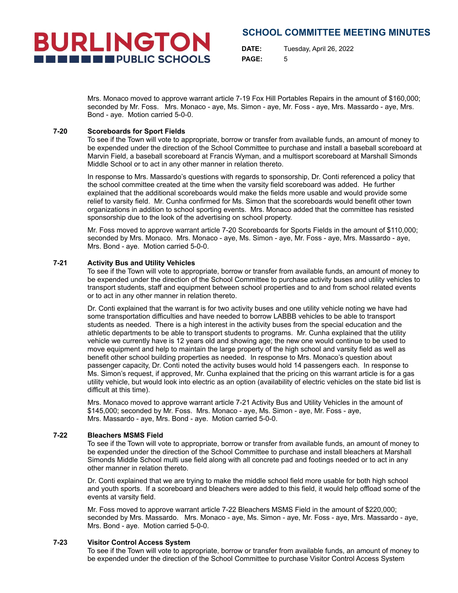**DATE:** Tuesday, April 26, 2022 **PAGE:** 5

Mrs. Monaco moved to approve warrant article 7-19 Fox Hill Portables Repairs in the amount of \$160,000; seconded by Mr. Foss. Mrs. Monaco - aye, Ms. Simon - aye, Mr. Foss - aye, Mrs. Massardo - aye, Mrs. Bond - aye. Motion carried 5-0-0.

### **7-20 Scoreboards for Sport Fields**

**BURLINGTON** 

**THE ENDIRECT PUBLIC SCHOOLS** 

To see if the Town will vote to appropriate, borrow or transfer from available funds, an amount of money to be expended under the direction of the School Committee to purchase and install a baseball scoreboard at Marvin Field, a baseball scoreboard at Francis Wyman, and a multisport scoreboard at Marshall Simonds Middle School or to act in any other manner in relation thereto.

In response to Mrs. Massardo's questions with regards to sponsorship, Dr. Conti referenced a policy that the school committee created at the time when the varsity field scoreboard was added. He further explained that the additional scoreboards would make the fields more usable and would provide some relief to varsity field. Mr. Cunha confirmed for Ms. Simon that the scoreboards would benefit other town organizations in addition to school sporting events. Mrs. Monaco added that the committee has resisted sponsorship due to the look of the advertising on school property.

Mr. Foss moved to approve warrant article 7-20 Scoreboards for Sports Fields in the amount of \$110,000; seconded by Mrs. Monaco. Mrs. Monaco - aye, Ms. Simon - aye, Mr. Foss - aye, Mrs. Massardo - aye, Mrs. Bond - aye. Motion carried 5-0-0.

### **7-21 Activity Bus and Utility Vehicles**

To see if the Town will vote to appropriate, borrow or transfer from available funds, an amount of money to be expended under the direction of the School Committee to purchase activity buses and utility vehicles to transport students, staff and equipment between school properties and to and from school related events or to act in any other manner in relation thereto.

Dr. Conti explained that the warrant is for two activity buses and one utility vehicle noting we have had some transportation difficulties and have needed to borrow LABBB vehicles to be able to transport students as needed. There is a high interest in the activity buses from the special education and the athletic departments to be able to transport students to programs. Mr. Cunha explained that the utility vehicle we currently have is 12 years old and showing age; the new one would continue to be used to move equipment and help to maintain the large property of the high school and varsity field as well as benefit other school building properties as needed. In response to Mrs. Monaco's question about passenger capacity, Dr. Conti noted the activity buses would hold 14 passengers each. In response to Ms. Simon's request, if approved, Mr. Cunha explained that the pricing on this warrant article is for a gas utility vehicle, but would look into electric as an option (availability of electric vehicles on the state bid list is difficult at this time).

Mrs. Monaco moved to approve warrant article 7-21 Activity Bus and Utility Vehicles in the amount of \$145,000; seconded by Mr. Foss. Mrs. Monaco - aye, Ms. Simon - aye, Mr. Foss - aye, Mrs. Massardo - aye, Mrs. Bond - aye. Motion carried 5-0-0.

### **7-22 Bleachers MSMS Field**

To see if the Town will vote to appropriate, borrow or transfer from available funds, an amount of money to be expended under the direction of the School Committee to purchase and install bleachers at Marshall Simonds Middle School multi use field along with all concrete pad and footings needed or to act in any other manner in relation thereto.

Dr. Conti explained that we are trying to make the middle school field more usable for both high school and youth sports. If a scoreboard and bleachers were added to this field, it would help offload some of the events at varsity field.

Mr. Foss moved to approve warrant article 7-22 Bleachers MSMS Field in the amount of \$220,000; seconded by Mrs. Massardo. Mrs. Monaco - aye, Ms. Simon - aye, Mr. Foss - aye, Mrs. Massardo - aye, Mrs. Bond - aye. Motion carried 5-0-0.

### **7-23 Visitor Control Access System**

To see if the Town will vote to appropriate, borrow or transfer from available funds, an amount of money to be expended under the direction of the School Committee to purchase Visitor Control Access System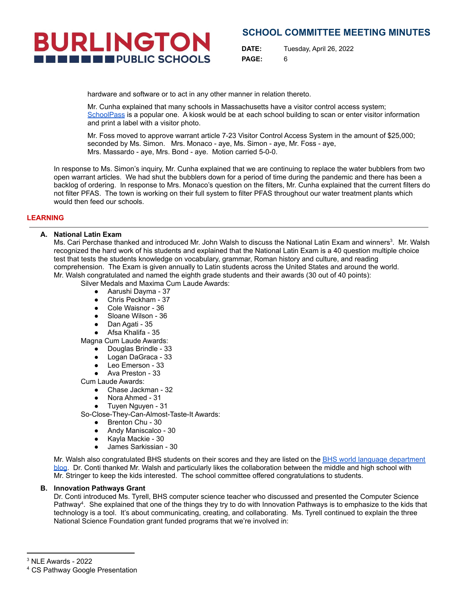# **BURLINGTON IN EXECUTE PUBLIC SCHOOLS**

# **SCHOOL COMMITTEE MEETING MINUTES**

**DATE:** Tuesday, April 26, 2022 **PAGE:** 6

hardware and software or to act in any other manner in relation thereto.

Mr. Cunha explained that many schools in Massachusetts have a visitor control access system; [SchoolPass](https://schoolpass.com/) is a popular one. A kiosk would be at each school building to scan or enter visitor information and print a label with a visitor photo.

Mr. Foss moved to approve warrant article 7-23 Visitor Control Access System in the amount of \$25,000; seconded by Ms. Simon. Mrs. Monaco - aye, Ms. Simon - aye, Mr. Foss - aye, Mrs. Massardo - aye, Mrs. Bond - aye. Motion carried 5-0-0.

In response to Ms. Simon's inquiry, Mr. Cunha explained that we are continuing to replace the water bubblers from two open warrant articles. We had shut the bubblers down for a period of time during the pandemic and there has been a backlog of ordering. In response to Mrs. Monaco's question on the filters, Mr. Cunha explained that the current filters do not filter PFAS. The town is working on their full system to filter PFAS throughout our water treatment plants which would then feed our schools.

# **LEARNING**

# **A. National Latin Exam**

Ms. Cari Perchase thanked and introduced Mr. John Walsh to discuss the National Latin Exam and winners<sup>3</sup>. Mr. Walsh recognized the hard work of his students and explained that the National Latin Exam is a 40 question multiple choice test that tests the students knowledge on vocabulary, grammar, Roman history and culture, and reading comprehension. The Exam is given annually to Latin students across the United States and around the world.

Mr. Walsh congratulated and named the eighth grade students and their awards (30 out of 40 points):

Silver Medals and Maxima Cum Laude Awards:

- Aarushi Dayma 37
- Chris Peckham 37
- Cole Waisnor 36
- Sloane Wilson 36
- Dan Agati 35
- Afsa Khalifa 35

Magna Cum Laude Awards:

- Douglas Brindle 33
- Logan DaGraca 33
- Leo Emerson 33
- Ava Preston 33

Cum Laude Awards:

- Chase Jackman 32
- Nora Ahmed 31
- Tuyen Nguyen 31

So-Close-They-Can-Almost-Taste-It Awards:

- Brenton Chu 30
- Andy Maniscalco 30
- Kayla Mackie 30
- James Sarkissian 30

Mr. Walsh also congratulated BHS students on their scores and they are listed on the BHS world language [department](https://bhsworldlanguages.wordpress.com/2022/04/25/incredibile-visu-bhs-sets-new-record-for-medals-and-awards-on-the-2022-national-latin-exam/) [blog.](https://bhsworldlanguages.wordpress.com/2022/04/25/incredibile-visu-bhs-sets-new-record-for-medals-and-awards-on-the-2022-national-latin-exam/) Dr. Conti thanked Mr. Walsh and particularly likes the collaboration between the middle and high school with Mr. Stringer to keep the kids interested. The school committee offered congratulations to students.

# **B. Innovation Pathways Grant**

Dr. Conti introduced Ms. Tyrell, BHS computer science teacher who discussed and presented the Computer Science Pathway<sup>4</sup>. She explained that one of the things they try to do with Innovation Pathways is to emphasize to the kids that technology is a tool. It's about communicating, creating, and collaborating. Ms. Tyrell continued to explain the three National Science Foundation grant funded programs that we're involved in:

 $3$  NLE Awards - 2022

<sup>4</sup> CS Pathway Google Presentation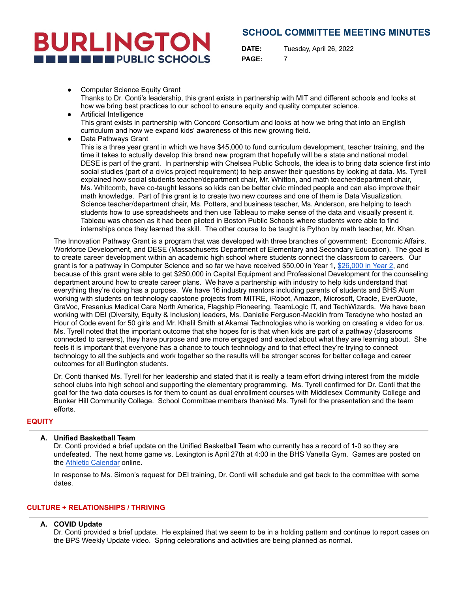# **BURLINGTON IN EXECUTIVE PUBLIC SCHOOLS**

**SCHOOL COMMITTEE MEETING MINUTES**

**DATE:** Tuesday, April 26, 2022 **PAGE:** 7

- **Computer Science Equity Grant** Thanks to Dr. Conti's leadership, this grant exists in partnership with MIT and different schools and looks at how we bring best practices to our school to ensure equity and quality computer science.
- Artificial Intelligence This grant exists in partnership with Concord Consortium and looks at how we bring that into an English curriculum and how we expand kids' awareness of this new growing field.
- Data Pathways Grant This is a three year grant in which we have \$45,000 to fund curriculum development, teacher training, and the time it takes to actually develop this brand new program that hopefully will be a state and national model. DESE is part of the grant. In partnership with Chelsea Public Schools, the idea is to bring data science first into social studies (part of a civics project requirement) to help answer their questions by looking at data. Ms. Tyrell explained how social students teacher/department chair, Mr. Whitton, and math teacher/department chair, Ms. Whitcomb, have co-taught lessons so kids can be better civic minded people and can also improve their math knowledge. Part of this grant is to create two new courses and one of them is Data Visualization. Science teacher/department chair, Ms. Potters, and business teacher, Ms. Anderson, are helping to teach students how to use spreadsheets and then use Tableau to make sense of the data and visually present it. Tableau was chosen as it had been piloted in Boston Public Schools where students were able to find internships once they learned the skill. The other course to be taught is Python by math teacher, Mr. Khan.

The Innovation Pathway Grant is a program that was developed with three branches of government: Economic Affairs, Workforce Development, and DESE (Massachusetts Department of Elementary and Secondary Education). The goal is to create career development within an academic high school where students connect the classroom to careers. Our grant is for a pathway in Computer Science and so far we have received \$50,00 in Year 1, [\\$26,000](https://www.mass.gov/news/baker-polito-administration-awards-600000-in-grants-to-high-schools-to-support-innovation-pathways#:~:text=BOSTON%20%E2%80%94%20The%20Baker%2DPolito%20Administration,exploration%2C%20technical%20courses%20and%20internships.) in Year 2, and because of this grant were able to get \$250,000 in Capital Equipment and Professional Development for the counseling department around how to create career plans. We have a partnership with industry to help kids understand that everything they're doing has a purpose. We have 16 industry mentors including parents of students and BHS Alum working with students on technology capstone projects from MITRE, iRobot, Amazon, Microsoft, Oracle, EverQuote, GraVoc, Fresenius Medical Care North America, Flagship Pioneering, TeamLogic IT, and TechWizards. We have been working with DEI (Diversity, Equity & Inclusion) leaders, Ms. Danielle Ferguson-Macklin from Teradyne who hosted an Hour of Code event for 50 girls and Mr. Khalil Smith at Akamai Technologies who is working on creating a video for us. Ms. Tyrell noted that the important outcome that she hopes for is that when kids are part of a pathway (classrooms connected to careers), they have purpose and are more engaged and excited about what they are learning about. She feels it is important that everyone has a chance to touch technology and to that effect they're trying to connect technology to all the subjects and work together so the results will be stronger scores for better college and career outcomes for all Burlington students.

Dr. Conti thanked Ms. Tyrell for her leadership and stated that it is really a team effort driving interest from the middle school clubs into high school and supporting the elementary programming. Ms. Tyrell confirmed for Dr. Conti that the goal for the two data courses is for them to count as dual enrollment courses with Middlesex Community College and Bunker Hill Community College. School Committee members thanked Ms. Tyrell for the presentation and the team efforts.

# **EQUITY**

# **A. Unified Basketball Team**

Dr. Conti provided a brief update on the Unified Basketball Team who currently has a record of 1-0 so they are undefeated. The next home game vs. Lexington is April 27th at 4:00 in the BHS Vanella Gym. Games are posted on the Athletic [Calendar](https://www.burlingtonpublicschools.org/cms/One.aspx?portalId=70047685&pageId=70225748) online.

In response to Ms. Simon's request for DEI training, Dr. Conti will schedule and get back to the committee with some dates.

# **CULTURE + RELATIONSHIPS / THRIVING**

# **A. COVID Update**

Dr. Conti provided a brief update. He explained that we seem to be in a holding pattern and continue to report cases on the BPS Weekly Update video. Spring celebrations and activities are being planned as normal.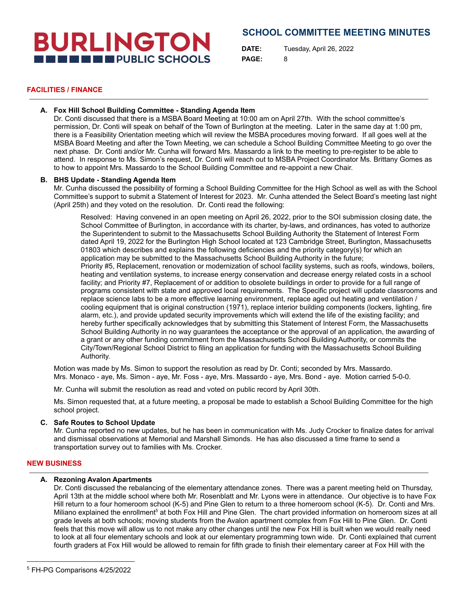# **BURLINGTON THE EXECUTIVE PUBLIC SCHOOLS**

# **SCHOOL COMMITTEE MEETING MINUTES**

**DATE:** Tuesday, April 26, 2022 **PAGE:** 8

### **FACILITIES / FINANCE**

# **A. Fox Hill School Building Committee - Standing Agenda Item**

Dr. Conti discussed that there is a MSBA Board Meeting at 10:00 am on April 27th. With the school committee's permission, Dr. Conti will speak on behalf of the Town of Burlington at the meeting. Later in the same day at 1:00 pm, there is a Feasibility Orientation meeting which will review the MSBA procedures moving forward. If all goes well at the MSBA Board Meeting and after the Town Meeting, we can schedule a School Building Committee Meeting to go over the next phase. Dr. Conti and/or Mr. Cunha will forward Mrs. Massardo a link to the meeting to pre-register to be able to attend. In response to Ms. Simon's request, Dr. Conti will reach out to MSBA Project Coordinator Ms. Brittany Gomes as to how to appoint Mrs. Massardo to the School Building Committee and re-appoint a new Chair.

### **B. BHS Update - Standing Agenda Item**

Mr. Cunha discussed the possibility of forming a School Building Committee for the High School as well as with the School Committee's support to submit a Statement of Interest for 2023. Mr. Cunha attended the Select Board's meeting last night (April 25th) and they voted on the resolution. Dr. Conti read the following:

Resolved: Having convened in an open meeting on April 26, 2022, prior to the SOI submission closing date, the School Committee of Burlington, in accordance with its charter, by-laws, and ordinances, has voted to authorize the Superintendent to submit to the Massachusetts School Building Authority the Statement of Interest Form dated April 19, 2022 for the Burlington High School located at 123 Cambridge Street, Burlington, Massachusetts 01803 which describes and explains the following deficiencies and the priority category(s) for which an application may be submitted to the Massachusetts School Building Authority in the future; Priority #5, Replacement, renovation or modernization of school facility systems, such as roofs, windows, boilers, heating and ventilation systems, to increase energy conservation and decrease energy related costs in a school facility; and Priority #7, Replacement of or addition to obsolete buildings in order to provide for a full range of programs consistent with state and approved local requirements. The Specific project will update classrooms and replace science labs to be a more effective learning environment, replace aged out heating and ventilation / cooling equipment that is original construction (1971), replace interior building components (lockers, lighting, fire alarm, etc.), and provide updated security improvements which will extend the life of the existing facility; and hereby further specifically acknowledges that by submitting this Statement of Interest Form, the Massachusetts School Building Authority in no way guarantees the acceptance or the approval of an application, the awarding of a grant or any other funding commitment from the Massachusetts School Building Authority, or commits the City/Town/Regional School District to filing an application for funding with the Massachusetts School Building Authority.

Motion was made by Ms. Simon to support the resolution as read by Dr. Conti; seconded by Mrs. Massardo. Mrs. Monaco - aye, Ms. Simon - aye, Mr. Foss - aye, Mrs. Massardo - aye, Mrs. Bond - aye. Motion carried 5-0-0.

Mr. Cunha will submit the resolution as read and voted on public record by April 30th.

Ms. Simon requested that, at a future meeting, a proposal be made to establish a School Building Committee for the high school project.

# **C. Safe Routes to School Update**

Mr. Cunha reported no new updates, but he has been in communication with Ms. Judy Crocker to finalize dates for arrival and dismissal observations at Memorial and Marshall Simonds. He has also discussed a time frame to send a transportation survey out to families with Ms. Crocker.

# **NEW BUSINESS**

### **A. Rezoning Avalon Apartments**

Dr. Conti discussed the rebalancing of the elementary attendance zones. There was a parent meeting held on Thursday, April 13th at the middle school where both Mr. Rosenblatt and Mr. Lyons were in attendance. Our objective is to have Fox Hill return to a four homeroom school (K-5) and Pine Glen to return to a three homeroom school (K-5). Dr. Conti and Mrs. Miliano explained the enrollment<sup>5</sup> at both Fox Hill and Pine Glen. The chart provided information on homeroom sizes at all grade levels at both schools; moving students from the Avalon apartment complex from Fox Hill to Pine Glen. Dr. Conti feels that this move will allow us to not make any other changes until the new Fox Hill is built when we would really need to look at all four elementary schools and look at our elementary programming town wide. Dr. Conti explained that current fourth graders at Fox Hill would be allowed to remain for fifth grade to finish their elementary career at Fox Hill with the

<sup>5</sup> FH-PG Comparisons 4/25/2022